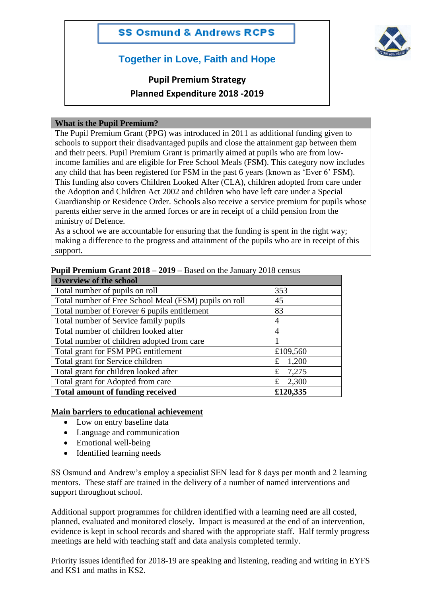

## **Together in Love, Faith and Hope**

# **Pupil Premium Strategy Planned Expenditure 2018 -2019**

#### **What is the Pupil Premium?**

The Pupil Premium Grant (PPG) was introduced in 2011 as additional funding given to schools to support their disadvantaged pupils and close the attainment gap between them and their peers. Pupil Premium Grant is primarily aimed at pupils who are from lowincome families and are eligible for Free School Meals (FSM). This category now includes any child that has been registered for FSM in the past 6 years (known as 'Ever 6' FSM). This funding also covers Children Looked After (CLA), children adopted from care under the Adoption and Children Act 2002 and children who have left care under a Special Guardianship or Residence Order. Schools also receive a service premium for pupils whose parents either serve in the armed forces or are in receipt of a child pension from the ministry of Defence.

As a school we are accountable for ensuring that the funding is spent in the right way; making a difference to the progress and attainment of the pupils who are in receipt of this support.

| <b>Overview of the school</b>                         |            |  |  |
|-------------------------------------------------------|------------|--|--|
| Total number of pupils on roll                        | 353        |  |  |
| Total number of Free School Meal (FSM) pupils on roll | 45         |  |  |
| Total number of Forever 6 pupils entitlement          | 83         |  |  |
| Total number of Service family pupils                 | 4          |  |  |
| Total number of children looked after                 | 4          |  |  |
| Total number of children adopted from care            |            |  |  |
| Total grant for FSM PPG entitlement                   | £109,560   |  |  |
| Total grant for Service children                      | 1,200<br>£ |  |  |
| Total grant for children looked after                 | 7,275<br>£ |  |  |
| Total grant for Adopted from care<br>2,300<br>£       |            |  |  |
| <b>Total amount of funding received</b>               | £120,335   |  |  |

**Pupil Premium Grant 2018 – 2019 –** Based on the January 2018 census

#### **Main barriers to educational achievement**

- Low on entry baseline data
- Language and communication
- Emotional well-being
- Identified learning needs

SS Osmund and Andrew's employ a specialist SEN lead for 8 days per month and 2 learning mentors. These staff are trained in the delivery of a number of named interventions and support throughout school.

Additional support programmes for children identified with a learning need are all costed, planned, evaluated and monitored closely. Impact is measured at the end of an intervention, evidence is kept in school records and shared with the appropriate staff. Half termly progress meetings are held with teaching staff and data analysis completed termly.

Priority issues identified for 2018-19 are speaking and listening, reading and writing in EYFS and KS1 and maths in KS2.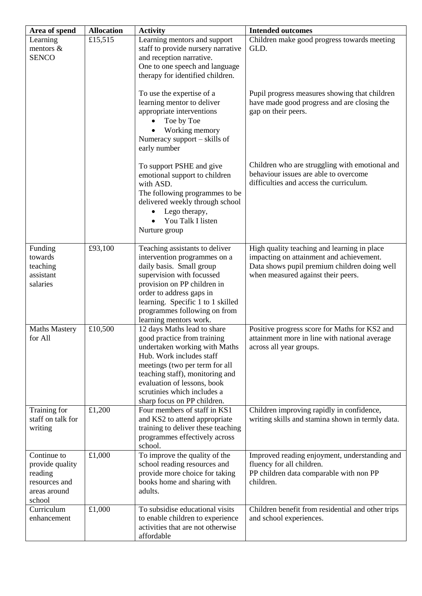| Area of spend                                                                        | <b>Allocation</b> | <b>Activity</b>                                                                                                                                                                                                                                                                           | <b>Intended outcomes</b>                                                                                                                                                      |
|--------------------------------------------------------------------------------------|-------------------|-------------------------------------------------------------------------------------------------------------------------------------------------------------------------------------------------------------------------------------------------------------------------------------------|-------------------------------------------------------------------------------------------------------------------------------------------------------------------------------|
| Learning<br>mentors &<br><b>SENCO</b>                                                | £15,515           | Learning mentors and support<br>staff to provide nursery narrative<br>and reception narrative.<br>One to one speech and language<br>therapy for identified children.                                                                                                                      | Children make good progress towards meeting<br>GLD.                                                                                                                           |
|                                                                                      |                   | To use the expertise of a<br>learning mentor to deliver<br>appropriate interventions<br>Toe by Toe<br>Working memory<br>Numeracy support – skills of<br>early number                                                                                                                      | Pupil progress measures showing that children<br>have made good progress and are closing the<br>gap on their peers.                                                           |
|                                                                                      |                   | To support PSHE and give<br>emotional support to children<br>with ASD.<br>The following programmes to be<br>delivered weekly through school<br>Lego therapy,<br>You Talk I listen<br>Nurture group                                                                                        | Children who are struggling with emotional and<br>behaviour issues are able to overcome<br>difficulties and access the curriculum.                                            |
| Funding<br>towards<br>teaching<br>assistant<br>salaries                              | £93,100           | Teaching assistants to deliver<br>intervention programmes on a<br>daily basis. Small group<br>supervision with focussed<br>provision on PP children in<br>order to address gaps in<br>learning. Specific 1 to 1 skilled<br>programmes following on from<br>learning mentors work.         | High quality teaching and learning in place<br>impacting on attainment and achievement.<br>Data shows pupil premium children doing well<br>when measured against their peers. |
| <b>Maths Mastery</b><br>for All                                                      | £10,500           | 12 days Maths lead to share<br>good practice from training<br>undertaken working with Maths<br>Hub. Work includes staff<br>meetings (two per term for all<br>teaching staff), monitoring and<br>evaluation of lessons, book<br>scrutinies which includes a<br>sharp focus on PP children. | Positive progress score for Maths for KS2 and<br>attainment more in line with national average<br>across all year groups.                                                     |
| Training for<br>staff on talk for<br>writing                                         | £1,200            | Four members of staff in KS1<br>and KS2 to attend appropriate<br>training to deliver these teaching<br>programmes effectively across<br>school.                                                                                                                                           | Children improving rapidly in confidence,<br>writing skills and stamina shown in termly data.                                                                                 |
| Continue to<br>provide quality<br>reading<br>resources and<br>areas around<br>school | £1,000            | To improve the quality of the<br>school reading resources and<br>provide more choice for taking<br>books home and sharing with<br>adults.                                                                                                                                                 | Improved reading enjoyment, understanding and<br>fluency for all children.<br>PP children data comparable with non PP<br>children.                                            |
| Curriculum<br>enhancement                                                            | £1,000            | To subsidise educational visits<br>to enable children to experience<br>activities that are not otherwise<br>affordable                                                                                                                                                                    | Children benefit from residential and other trips<br>and school experiences.                                                                                                  |